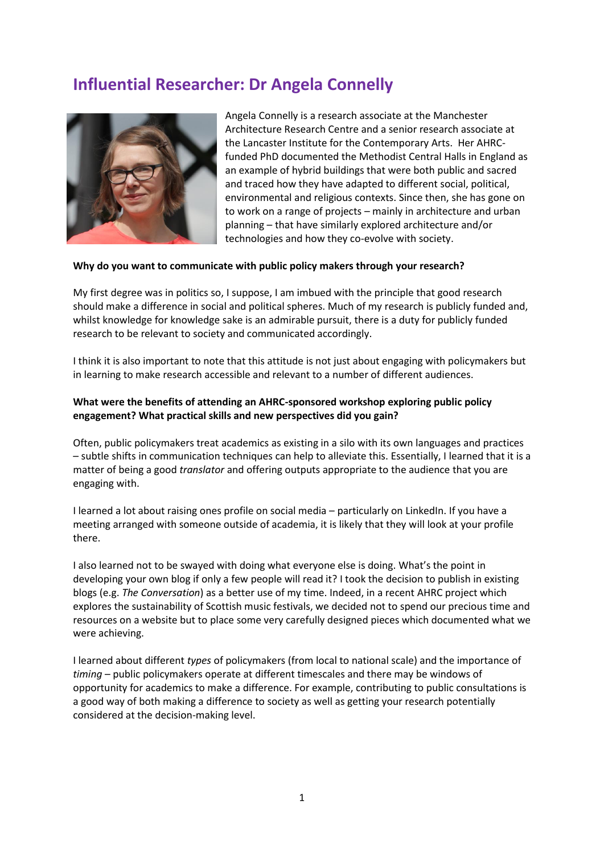# **Influential Researcher: Dr Angela Connelly**



Angela Connelly is a research associate at the Manchester Architecture Research Centre and a senior research associate at the Lancaster Institute for the Contemporary Arts. Her AHRCfunded PhD documented the Methodist Central Halls in England as an example of hybrid buildings that were both public and sacred and traced how they have adapted to different social, political, environmental and religious contexts. Since then, she has gone on to work on a range of projects – mainly in architecture and urban planning – that have similarly explored architecture and/or technologies and how they co-evolve with society.

#### **Why do you want to communicate with public policy makers through your research?**

My first degree was in politics so, I suppose, I am imbued with the principle that good research should make a difference in social and political spheres. Much of my research is publicly funded and, whilst knowledge for knowledge sake is an admirable pursuit, there is a duty for publicly funded research to be relevant to society and communicated accordingly.

I think it is also important to note that this attitude is not just about engaging with policymakers but in learning to make research accessible and relevant to a number of different audiences.

## **What were the benefits of attending an AHRC-sponsored workshop exploring public policy engagement? What practical skills and new perspectives did you gain?**

Often, public policymakers treat academics as existing in a silo with its own languages and practices – subtle shifts in communication techniques can help to alleviate this. Essentially, I learned that it is a matter of being a good *translator* and offering outputs appropriate to the audience that you are engaging with.

I learned a lot about raising ones profile on social media – particularly on LinkedIn. If you have a meeting arranged with someone outside of academia, it is likely that they will look at your profile there.

I also learned not to be swayed with doing what everyone else is doing. What's the point in developing your own blog if only a few people will read it? I took the decision to publish in existing blogs (e.g. *The Conversation*) as a better use of my time. Indeed, in a recent AHRC project which explores the sustainability of Scottish music festivals, we decided not to spend our precious time and resources on a website but to place some very carefully designed pieces which documented what we were achieving.

I learned about different *types* of policymakers (from local to national scale) and the importance of *timing* – public policymakers operate at different timescales and there may be windows of opportunity for academics to make a difference. For example, contributing to public consultations is a good way of both making a difference to society as well as getting your research potentially considered at the decision-making level.